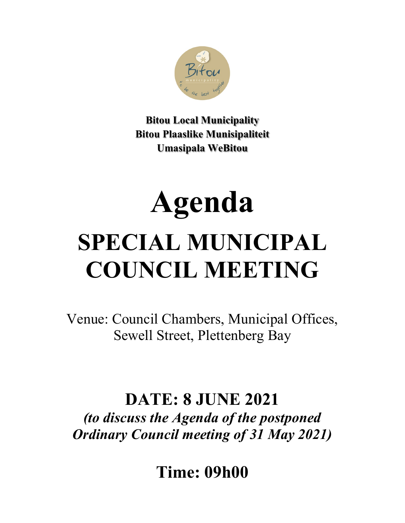

**Bitou Local Municipality Bitou Plaaslike Munisipaliteit Umasipala WeBitou**

# **Agenda SPECIAL MUNICIPAL COUNCIL MEETING**

Venue: Council Chambers, Municipal Offices, Sewell Street, Plettenberg Bay

## **DATE: 8 JUNE 2021**

*(to discuss the Agenda of the postponed Ordinary Council meeting of 31 May 2021)* 

**Time: 09h00**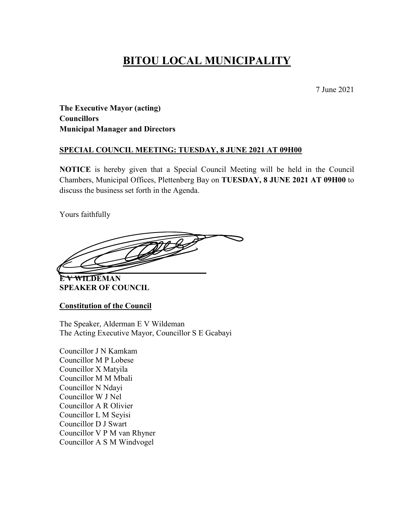## **BITOU LOCAL MUNICIPALITY**

7 June 2021

**The Executive Mayor (acting) Councillors Municipal Manager and Directors**

#### **SPECIAL COUNCIL MEETING: TUESDAY, 8 JUNE 2021 AT 09H00**

**NOTICE** is hereby given that a Special Council Meeting will be held in the Council Chambers, Municipal Offices, Plettenberg Bay on **TUESDAY, 8 JUNE 2021 AT 09H00** to discuss the business set forth in the Agenda.

Yours faithfully

**\_\_\_\_\_\_\_\_\_\_\_\_\_\_\_\_\_\_\_\_\_\_\_\_\_\_\_\_\_\_\_\_\_\_\_\_\_**

**E V WILDEMAN SPEAKER OF COUNCIL**

**Constitution of the Council**

The Speaker, Alderman E V Wildeman The Acting Executive Mayor, Councillor S E Gcabayi

Councillor J N Kamkam Councillor M P Lobese Councillor X Matyila Councillor M M Mbali Councillor N Ndayi Councillor W J Nel Councillor A R Olivier Councillor L M Seyisi Councillor D J Swart Councillor V P M van Rhyner Councillor A S M Windvogel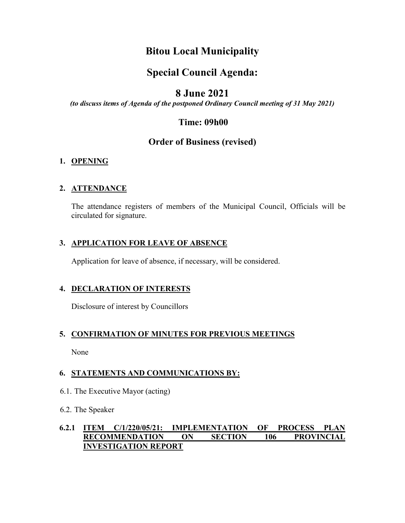## **Bitou Local Municipality**

## **Special Council Agenda:**

### **8 June 2021**

*(to discuss items of Agenda of the postponed Ordinary Council meeting of 31 May 2021)*

#### **Time: 09h00**

#### **Order of Business (revised)**

#### **1. OPENING**

#### **2. ATTENDANCE**

The attendance registers of members of the Municipal Council, Officials will be circulated for signature.

#### **3. APPLICATION FOR LEAVE OF ABSENCE**

Application for leave of absence, if necessary, will be considered.

#### **4. DECLARATION OF INTERESTS**

Disclosure of interest by Councillors

#### **5. CONFIRMATION OF MINUTES FOR PREVIOUS MEETINGS**

None

#### **6. STATEMENTS AND COMMUNICATIONS BY:**

- 6.1. The Executive Mayor (acting)
- 6.2. The Speaker

#### **6.2.1 ITEM C/1/220/05/21: IMPLEMENTATION OF PROCESS PLAN RECOMMENDATION ON SECTION 106 PROVINCIAL INVESTIGATION REPORT**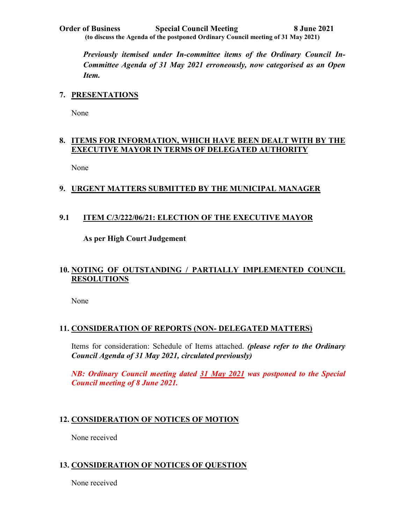**Order of Business Special Council Meeting 8 June 2021 (to discuss the Agenda of the postponed Ordinary Council meeting of 31 May 2021)**

*Previously itemised under In-committee items of the Ordinary Council In-Committee Agenda of 31 May 2021 erroneously, now categorised as an Open Item.*

#### **7. PRESENTATIONS**

None

#### **8. ITEMS FOR INFORMATION, WHICH HAVE BEEN DEALT WITH BY THE EXECUTIVE MAYOR IN TERMS OF DELEGATED AUTHORITY**

None

#### **9. URGENT MATTERS SUBMITTED BY THE MUNICIPAL MANAGER**

#### **9.1 ITEM C/3/222/06/21: ELECTION OF THE EXECUTIVE MAYOR**

**As per High Court Judgement** 

#### **10. NOTING OF OUTSTANDING / PARTIALLY IMPLEMENTED COUNCIL RESOLUTIONS**

None

#### **11. CONSIDERATION OF REPORTS (NON- DELEGATED MATTERS)**

Items for consideration: Schedule of Items attached. *(please refer to the Ordinary Council Agenda of 31 May 2021, circulated previously)*

*NB: Ordinary Council meeting dated 31 May 2021 was postponed to the Special Council meeting of 8 June 2021.* 

#### **12. CONSIDERATION OF NOTICES OF MOTION**

None received

#### **13. CONSIDERATION OF NOTICES OF QUESTION**

None received